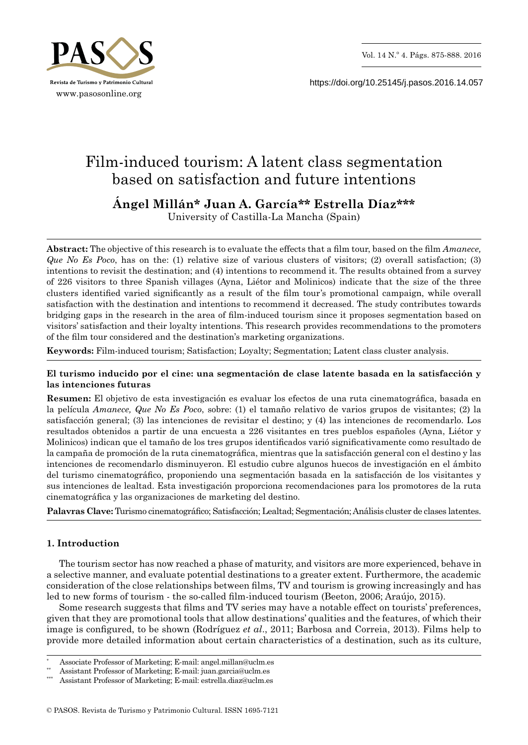

https://doi.org/10.25145/j.pasos.2016.14.057

# Film-induced tourism: A latent class segmentation based on satisfaction and future intentions

**Ángel Millán\* Juan A. García\*\* Estrella Díaz\*\*\***

University of Castilla-La Mancha (Spain)

**Abstract:** The objective of this research is to evaluate the effects that a film tour, based on the film *Amanece, Que No Es Poco*, has on the: (1) relative size of various clusters of visitors; (2) overall satisfaction; (3) intentions to revisit the destination; and (4) intentions to recommend it. The results obtained from a survey of 226 visitors to three Spanish villages (Ayna, Liétor and Molinicos) indicate that the size of the three clusters identified varied significantly as a result of the film tour's promotional campaign, while overall satisfaction with the destination and intentions to recommend it decreased. The study contributes towards bridging gaps in the research in the area of film-induced tourism since it proposes segmentation based on visitors' satisfaction and their loyalty intentions. This research provides recommendations to the promoters of the film tour considered and the destination's marketing organizations.

**Keywords:** Film-induced tourism; Satisfaction; Loyalty; Segmentation; Latent class cluster analysis.

## **El turismo inducido por el cine: una segmentación de clase latente basada en la satisfacción y las intenciones futuras**

**Resumen:** El objetivo de esta investigación es evaluar los efectos de una ruta cinematográfica, basada en la película *Amanece, Que No Es Poco*, sobre: (1) el tamaño relativo de varios grupos de visitantes; (2) la satisfacción general; (3) las intenciones de revisitar el destino; y (4) las intenciones de recomendarlo. Los resultados obtenidos a partir de una encuesta a 226 visitantes en tres pueblos españoles (Ayna, Liétor y Molinicos) indican que el tamaño de los tres grupos identificados varió significativamente como resultado de la campaña de promoción de la ruta cinematográfica, mientras que la satisfacción general con el destino y las intenciones de recomendarlo disminuyeron. El estudio cubre algunos huecos de investigación en el ámbito del turismo cinematográfico, proponiendo una segmentación basada en la satisfacción de los visitantes y sus intenciones de lealtad. Esta investigación proporciona recomendaciones para los promotores de la ruta cinematográfica y las organizaciones de marketing del destino.

**Palavras Clave:** Turismo cinematográfico; Satisfacción; Lealtad; Segmentación; Análisis cluster de clases latentes.

# **1. Introduction**

The tourism sector has now reached a phase of maturity, and visitors are more experienced, behave in a selective manner, and evaluate potential destinations to a greater extent. Furthermore, the academic consideration of the close relationships between films, TV and tourism is growing increasingly and has led to new forms of tourism - the so-called film-induced tourism (Beeton, 2006; Araújo, 2015).

Some research suggests that films and TV series may have a notable effect on tourists' preferences, given that they are promotional tools that allow destinations' qualities and the features, of which their image is configured, to be shown (Rodríguez *et al*., 2011; Barbosa and Correia, 2013). Films help to provide more detailed information about certain characteristics of a destination, such as its culture,

Associate Professor of Marketing; E-mail: angel.millan@uclm.es

<sup>\*\*</sup> Assistant Professor of Marketing; E-mail: juan.garcia@uclm.es

Assistant Professor of Marketing; E-mail: estrella.diaz@uclm.es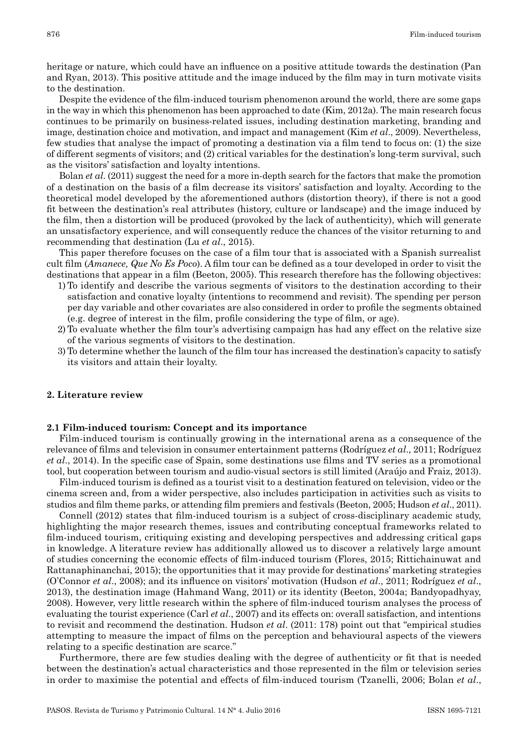heritage or nature, which could have an influence on a positive attitude towards the destination (Pan and Ryan, 2013). This positive attitude and the image induced by the film may in turn motivate visits to the destination.

Despite the evidence of the film-induced tourism phenomenon around the world, there are some gaps in the way in which this phenomenon has been approached to date (Kim, 2012a). The main research focus continues to be primarily on business-related issues, including destination marketing, branding and image, destination choice and motivation, and impact and management (Kim *et al*., 2009). Nevertheless, few studies that analyse the impact of promoting a destination via a film tend to focus on: (1) the size of different segments of visitors; and (2) critical variables for the destination's long-term survival, such as the visitors' satisfaction and loyalty intentions.

Bolan *et al*. (2011) suggest the need for a more in-depth search for the factors that make the promotion of a destination on the basis of a film decrease its visitors' satisfaction and loyalty. According to the theoretical model developed by the aforementioned authors (distortion theory), if there is not a good fit between the destination's real attributes (history, culture or landscape) and the image induced by the film, then a distortion will be produced (provoked by the lack of authenticity), which will generate an unsatisfactory experience, and will consequently reduce the chances of the visitor returning to and recommending that destination (Lu *et al*., 2015).

This paper therefore focuses on the case of a film tour that is associated with a Spanish surrealist cult film (*Amanece, Que No Es Poco*). A film tour can be defined as a tour developed in order to visit the destinations that appear in a film (Beeton, 2005). This research therefore has the following objectives:

- 1)To identify and describe the various segments of visitors to the destination according to their satisfaction and conative loyalty (intentions to recommend and revisit). The spending per person per day variable and other covariates are also considered in order to profile the segments obtained (e.g. degree of interest in the film, profile considering the type of film, or age).
- 2) To evaluate whether the film tour's advertising campaign has had any effect on the relative size of the various segments of visitors to the destination.
- 3) To determine whether the launch of the film tour has increased the destination's capacity to satisfy its visitors and attain their loyalty.

## **2. Literature review**

## **2.1 Film-induced tourism: Concept and its importance**

Film-induced tourism is continually growing in the international arena as a consequence of the relevance of films and television in consumer entertainment patterns (Rodríguez *et al*., 2011; Rodríguez *et al*., 2014). In the specific case of Spain, some destinations use films and TV series as a promotional tool, but cooperation between tourism and audio-visual sectors is still limited (Araújo and Fraiz, 2013).

Film-induced tourism is defined as a tourist visit to a destination featured on television, video or the cinema screen and, from a wider perspective, also includes participation in activities such as visits to studios and film theme parks, or attending film premiers and festivals (Beeton, 2005; Hudson *et al*., 2011).

Connell (2012) states that film-induced tourism is a subject of cross-disciplinary academic study, highlighting the major research themes, issues and contributing conceptual frameworks related to film-induced tourism, critiquing existing and developing perspectives and addressing critical gaps in knowledge. A literature review has additionally allowed us to discover a relatively large amount of studies concerning the economic effects of film-induced tourism (Flores, 2015; Rittichainuwat and Rattanaphinanchai, 2015); the opportunities that it may provide for destinations' marketing strategies (O'Connor *et al*., 2008); and its influence on visitors' motivation (Hudson *et al*., 2011; Rodríguez *et al*., 2013), the destination image (Hahmand Wang, 2011) or its identity (Beeton, 2004a; Bandyopadhyay, 2008). However, very little research within the sphere of film-induced tourism analyses the process of evaluating the tourist experience (Carl *et al*., 2007) and its effects on: overall satisfaction, and intentions to revisit and recommend the destination. Hudson *et al*. (2011: 178) point out that "empirical studies attempting to measure the impact of films on the perception and behavioural aspects of the viewers relating to a specific destination are scarce."

Furthermore, there are few studies dealing with the degree of authenticity or fit that is needed between the destination's actual characteristics and those represented in the film or television series in order to maximise the potential and effects of film-induced tourism (Tzanelli, 2006; Bolan *et al*.,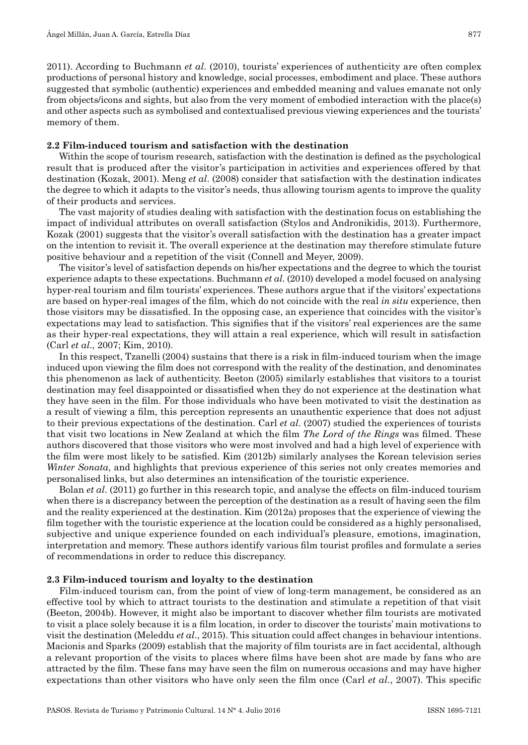2011). According to Buchmann *et al*. (2010), tourists' experiences of authenticity are often complex productions of personal history and knowledge, social processes, embodiment and place. These authors suggested that symbolic (authentic) experiences and embedded meaning and values emanate not only from objects/icons and sights, but also from the very moment of embodied interaction with the place(s) and other aspects such as symbolised and contextualised previous viewing experiences and the tourists' memory of them.

## **2.2 Film-induced tourism and satisfaction with the destination**

Within the scope of tourism research, satisfaction with the destination is defined as the psychological result that is produced after the visitor's participation in activities and experiences offered by that destination (Kozak, 2001). Meng *et al*. (2008) consider that satisfaction with the destination indicates the degree to which it adapts to the visitor's needs, thus allowing tourism agents to improve the quality of their products and services.

The vast majority of studies dealing with satisfaction with the destination focus on establishing the impact of individual attributes on overall satisfaction (Stylos and Andronikidis, 2013). Furthermore, Kozak (2001) suggests that the visitor's overall satisfaction with the destination has a greater impact on the intention to revisit it. The overall experience at the destination may therefore stimulate future positive behaviour and a repetition of the visit (Connell and Meyer, 2009).

The visitor's level of satisfaction depends on his/her expectations and the degree to which the tourist experience adapts to these expectations. Buchmann *et al*. (2010) developed a model focused on analysing hyper-real tourism and film tourists' experiences. These authors argue that if the visitors' expectations are based on hyper-real images of the film, which do not coincide with the real *in situ* experience, then those visitors may be dissatisfied. In the opposing case, an experience that coincides with the visitor's expectations may lead to satisfaction. This signifies that if the visitors' real experiences are the same as their hyper-real expectations, they will attain a real experience, which will result in satisfaction (Carl *et al*., 2007; Kim, 2010).

In this respect, Tzanelli (2004) sustains that there is a risk in film-induced tourism when the image induced upon viewing the film does not correspond with the reality of the destination, and denominates this phenomenon as lack of authenticity. Beeton (2005) similarly establishes that visitors to a tourist destination may feel disappointed or dissatisfied when they do not experience at the destination what they have seen in the film. For those individuals who have been motivated to visit the destination as a result of viewing a film, this perception represents an unauthentic experience that does not adjust to their previous expectations of the destination. Carl *et al*. (2007) studied the experiences of tourists that visit two locations in New Zealand at which the film *The Lord of the Rings* was filmed. These authors discovered that those visitors who were most involved and had a high level of experience with the film were most likely to be satisfied. Kim (2012b) similarly analyses the Korean television series *Winter Sonata*, and highlights that previous experience of this series not only creates memories and personalised links, but also determines an intensification of the touristic experience.

Bolan *et al*. (2011) go further in this research topic, and analyse the effects on film-induced tourism when there is a discrepancy between the perception of the destination as a result of having seen the film and the reality experienced at the destination. Kim (2012a) proposes that the experience of viewing the film together with the touristic experience at the location could be considered as a highly personalised, subjective and unique experience founded on each individual's pleasure, emotions, imagination, interpretation and memory. These authors identify various film tourist profiles and formulate a series of recommendations in order to reduce this discrepancy.

## **2.3 Film-induced tourism and loyalty to the destination**

Film-induced tourism can, from the point of view of long-term management, be considered as an effective tool by which to attract tourists to the destination and stimulate a repetition of that visit (Beeton, 2004b). However, it might also be important to discover whether film tourists are motivated to visit a place solely because it is a film location, in order to discover the tourists' main motivations to visit the destination (Meleddu *et al*., 2015). This situation could affect changes in behaviour intentions. Macionis and Sparks (2009) establish that the majority of film tourists are in fact accidental, although a relevant proportion of the visits to places where films have been shot are made by fans who are attracted by the film. These fans may have seen the film on numerous occasions and may have higher expectations than other visitors who have only seen the film once (Carl *et al*., 2007). This specific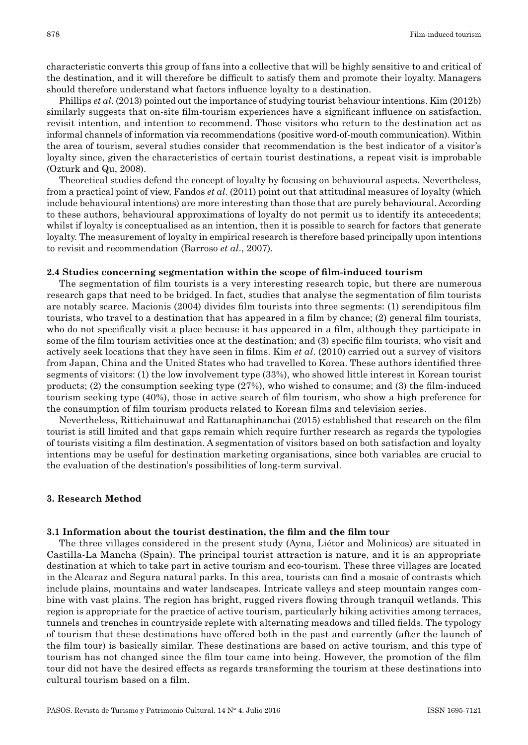characteristic converts this group of fans into a collective that will be highly sensitive to and critical of the destination, and it will therefore be difficult to satisfy them and promote their loyalty. Managers should therefore understand what factors influence loyalty to a destination.

Phillips *et al*. (2013) pointed out the importance of studying tourist behaviour intentions. Kim (2012b) similarly suggests that on-site film-tourism experiences have a significant influence on satisfaction, revisit intention, and intention to recommend. Those visitors who return to the destination act as informal channels of information via recommendations (positive word-of-mouth communication). Within the area of tourism, several studies consider that recommendation is the best indicator of a visitor's loyalty since, given the characteristics of certain tourist destinations, a repeat visit is improbable (Ozturk and Qu, 2008).

Theoretical studies defend the concept of loyalty by focusing on behavioural aspects. Nevertheless, from a practical point of view, Fandos *et al*. (2011) point out that attitudinal measures of loyalty (which include behavioural intentions) are more interesting than those that are purely behavioural. According to these authors, behavioural approximations of loyalty do not permit us to identify its antecedents; whilst if loyalty is conceptualised as an intention, then it is possible to search for factors that generate loyalty. The measurement of loyalty in empirical research is therefore based principally upon intentions to revisit and recommendation (Barroso *et al*., 2007).

#### **2.4 Studies concerning segmentation within the scope of film-induced tourism**

The segmentation of film tourists is a very interesting research topic, but there are numerous research gaps that need to be bridged. In fact, studies that analyse the segmentation of film tourists are notably scarce. Macionis (2004) divides film tourists into three segments: (1) serendipitous film tourists, who travel to a destination that has appeared in a film by chance; (2) general film tourists, who do not specifically visit a place because it has appeared in a film, although they participate in some of the film tourism activities once at the destination; and (3) specific film tourists, who visit and actively seek locations that they have seen in films. Kim *et al*. (2010) carried out a survey of visitors from Japan, China and the United States who had travelled to Korea. These authors identified three segments of visitors: (1) the low involvement type (33%), who showed little interest in Korean tourist products; (2) the consumption seeking type (27%), who wished to consume; and (3) the film-induced tourism seeking type (40%), those in active search of film tourism, who show a high preference for the consumption of film tourism products related to Korean films and television series.

Nevertheless, Rittichainuwat and Rattanaphinanchai (2015) established that research on the film tourist is still limited and that gaps remain which require further research as regards the typologies of tourists visiting a film destination. A segmentation of visitors based on both satisfaction and loyalty intentions may be useful for destination marketing organisations, since both variables are crucial to the evaluation of the destination's possibilities of long-term survival.

## **3. Research Method**

#### **3.1 Information about the tourist destination, the film and the film tour**

The three villages considered in the present study (Ayna, Liétor and Molinicos) are situated in Castilla-La Mancha (Spain). The principal tourist attraction is nature, and it is an appropriate destination at which to take part in active tourism and eco-tourism. These three villages are located in the Alcaraz and Segura natural parks. In this area, tourists can find a mosaic of contrasts which include plains, mountains and water landscapes. Intricate valleys and steep mountain ranges combine with vast plains. The region has bright, rugged rivers flowing through tranquil wetlands. This region is appropriate for the practice of active tourism, particularly hiking activities among terraces, tunnels and trenches in countryside replete with alternating meadows and tilled fields. The typology of tourism that these destinations have offered both in the past and currently (after the launch of the film tour) is basically similar. These destinations are based on active tourism, and this type of tourism has not changed since the film tour came into being. However, the promotion of the film tour did not have the desired effects as regards transforming the tourism at these destinations into cultural tourism based on a film.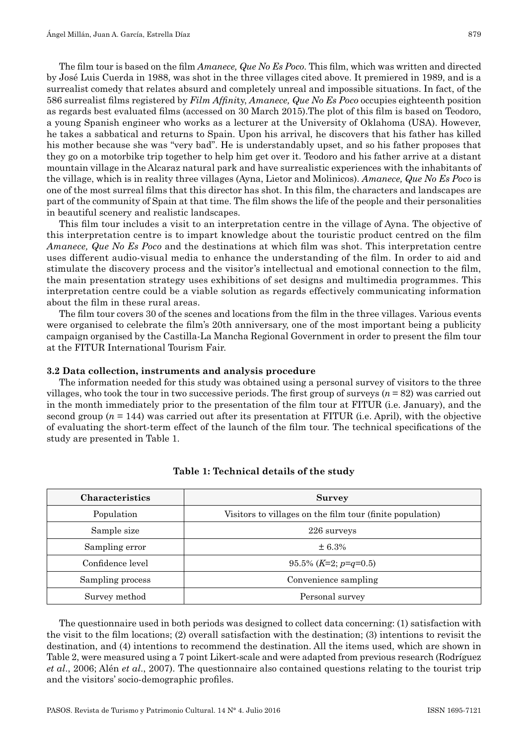The film tour is based on the film *Amanece, Que No Es Poco*. This film, which was written and directed by José Luis Cuerda in 1988, was shot in the three villages cited above. It premiered in 1989, and is a surrealist comedy that relates absurd and completely unreal and impossible situations. In fact, of the 586 surrealist films registered by *Film Affini*ty, *Amanece, Que No Es Poco* occupies eighteenth position as regards best evaluated films (accessed on 30 March 2015).The plot of this film is based on Teodoro, a young Spanish engineer who works as a lecturer at the University of Oklahoma (USA). However, he takes a sabbatical and returns to Spain. Upon his arrival, he discovers that his father has killed his mother because she was "very bad". He is understandably upset, and so his father proposes that they go on a motorbike trip together to help him get over it. Teodoro and his father arrive at a distant mountain village in the Alcaraz natural park and have surrealistic experiences with the inhabitants of the village, which is in reality three villages (Ayna, Lietor and Molinicos). *Amanece, Que No Es Poco* is one of the most surreal films that this director has shot. In this film, the characters and landscapes are part of the community of Spain at that time. The film shows the life of the people and their personalities in beautiful scenery and realistic landscapes.

This film tour includes a visit to an interpretation centre in the village of Ayna. The objective of this interpretation centre is to impart knowledge about the touristic product centred on the film *Amanece, Que No Es Poco* and the destinations at which film was shot. This interpretation centre uses different audio-visual media to enhance the understanding of the film. In order to aid and stimulate the discovery process and the visitor's intellectual and emotional connection to the film, the main presentation strategy uses exhibitions of set designs and multimedia programmes. This interpretation centre could be a viable solution as regards effectively communicating information about the film in these rural areas.

The film tour covers 30 of the scenes and locations from the film in the three villages. Various events were organised to celebrate the film's 20th anniversary, one of the most important being a publicity campaign organised by the Castilla-La Mancha Regional Government in order to present the film tour at the FITUR International Tourism Fair.

## **3.2 Data collection, instruments and analysis procedure**

The information needed for this study was obtained using a personal survey of visitors to the three villages, who took the tour in two successive periods. The first group of surveys (*n* = 82) was carried out in the month immediately prior to the presentation of the film tour at FITUR (i.e. January), and the second group ( $n = 144$ ) was carried out after its presentation at FITUR (i.e. April), with the objective of evaluating the short-term effect of the launch of the film tour. The technical specifications of the study are presented in Table 1.

| Characteristics  | <b>Survey</b>                                             |
|------------------|-----------------------------------------------------------|
| Population       | Visitors to villages on the film tour (finite population) |
| Sample size      | 226 surveys                                               |
| Sampling error   | ± 6.3%                                                    |
| Confidence level | $95.5\%$ (K=2; p=q=0.5)                                   |
| Sampling process | Convenience sampling                                      |
| Survey method    | Personal survey                                           |

## **Table 1: Technical details of the study**

The questionnaire used in both periods was designed to collect data concerning: (1) satisfaction with the visit to the film locations; (2) overall satisfaction with the destination; (3) intentions to revisit the destination, and (4) intentions to recommend the destination. All the items used, which are shown in Table 2, were measured using a 7 point Likert-scale and were adapted from previous research (Rodríguez *et al*., 2006; Alén *et al*., 2007). The questionnaire also contained questions relating to the tourist trip and the visitors' socio-demographic profiles.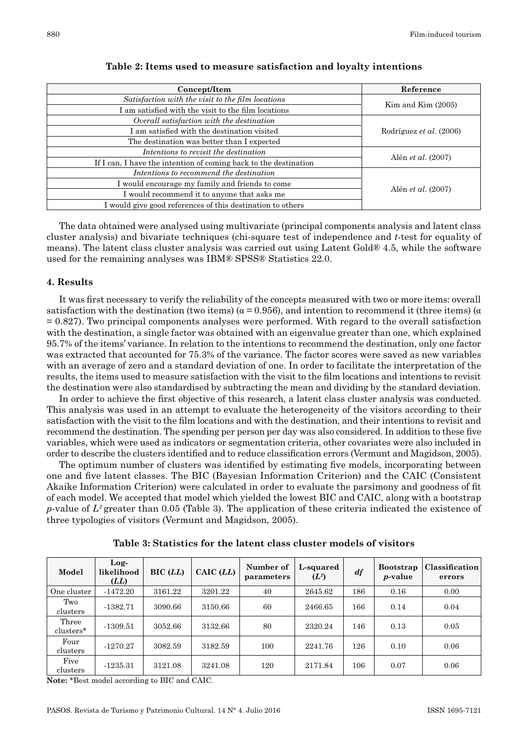| Concept/Item                                                     | Reference                 |  |
|------------------------------------------------------------------|---------------------------|--|
| Satisfaction with the visit to the film locations                | $Kim$ and $Kim$ $(2005)$  |  |
| I am satisfied with the visit to the film locations              |                           |  |
| Overall satisfaction with the destination                        |                           |  |
| I am satisfied with the destination visited                      | Rodríguez et al. (2006)   |  |
| The destination was better than I expected                       |                           |  |
| Intentions to revisit the destination                            | Alén et al. (2007)        |  |
| If I can, I have the intention of coming back to the destination |                           |  |
| Intentions to recommend the destination                          |                           |  |
| I would encourage my family and friends to come                  | Alén <i>et al.</i> (2007) |  |
| I would recommend it to anyone that asks me                      |                           |  |
| I would give good references of this destination to others       |                           |  |

**Table 2: Items used to measure satisfaction and loyalty intentions**

The data obtained were analysed using multivariate (principal components analysis and latent class cluster analysis) and bivariate techniques (chi-square test of independence and *t*-test for equality of means). The latent class cluster analysis was carried out using Latent Gold® 4.5, while the software used for the remaining analyses was IBM® SPSS® Statistics 22.0.

## **4. Results**

It was first necessary to verify the reliability of the concepts measured with two or more items: overall satisfaction with the destination (two items) ( $\alpha$  = 0.956), and intention to recommend it (three items) ( $\alpha$  $= 0.827$ . Two principal components analyses were performed. With regard to the overall satisfaction with the destination, a single factor was obtained with an eigenvalue greater than one, which explained 95.7% of the items' variance. In relation to the intentions to recommend the destination, only one factor was extracted that accounted for 75.3% of the variance. The factor scores were saved as new variables with an average of zero and a standard deviation of one. In order to facilitate the interpretation of the results, the items used to measure satisfaction with the visit to the film locations and intentions to revisit the destination were also standardised by subtracting the mean and dividing by the standard deviation.

In order to achieve the first objective of this research, a latent class cluster analysis was conducted. This analysis was used in an attempt to evaluate the heterogeneity of the visitors according to their satisfaction with the visit to the film locations and with the destination, and their intentions to revisit and recommend the destination. The spending per person per day was also considered. In addition to these five variables, which were used as indicators or segmentation criteria, other covariates were also included in order to describe the clusters identified and to reduce classification errors (Vermunt and Magidson, 2005).

The optimum number of clusters was identified by estimating five models, incorporating between one and five latent classes. The BIC (Bayesian Information Criterion) and the CAIC (Consistent Akaike Information Criterion) were calculated in order to evaluate the parsimony and goodness of fit of each model. We accepted that model which yielded the lowest BIC and CAIC, along with a bootstrap *p*-value of *L2* greater than 0.05 (Table 3). The application of these criteria indicated the existence of three typologies of visitors (Vermunt and Magidson, 2005).

| Model              | Log-<br>likelihood<br>(LL) | $BIC$ $(LL)$ | $CAIC$ $(LL)$ | Number of<br>parameters | <b>L-squared</b><br>$(L^2)$ | df  | <b>Bootstrap</b><br><i>p</i> -value | Classification<br>errors |
|--------------------|----------------------------|--------------|---------------|-------------------------|-----------------------------|-----|-------------------------------------|--------------------------|
| One cluster        | $-1472.20$                 | 3161.22      | 3201.22       | 40                      | 2645.62                     | 186 | 0.16                                | 0.00                     |
| Two<br>clusters    | $-1382.71$                 | 3090.66      | 3150.66       | 60                      | 2466.65                     | 166 | 0.14                                | 0.04                     |
| Three<br>clusters* | $-1309.51$                 | 3052.66      | 3132.66       | 80                      | 2320.24                     | 146 | 0.13                                | 0.05                     |
| Four<br>clusters   | $-1270.27$                 | 3082.59      | 3182.59       | 100                     | 2241.76                     | 126 | 0.10                                | 0.06                     |
| Five<br>clusters   | $-1235.31$                 | 3121.08      | 3241.08       | 120                     | 2171.84                     | 106 | 0.07                                | 0.06                     |

**Table 3: Statistics for the latent class cluster models of visitors**

**Note:** \*Best model according to BIC and CAIC.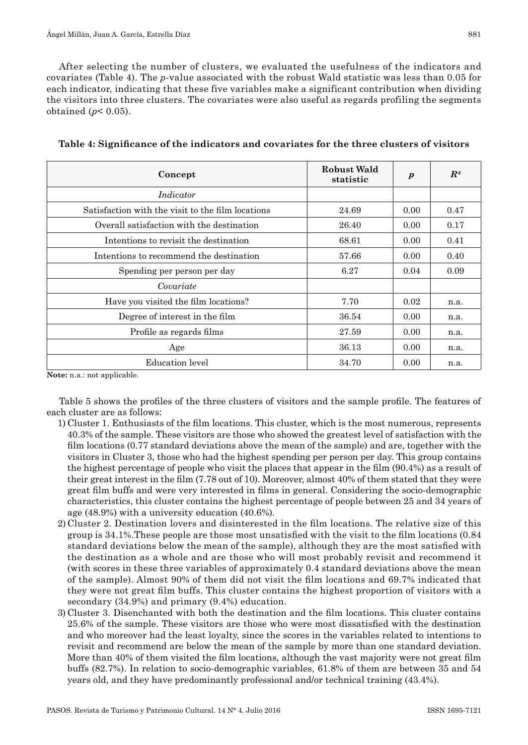After selecting the number of clusters, we evaluated the usefulness of the indicators and covariates (Table 4). The *p*-value associated with the robust Wald statistic was less than 0.05 for each indicator, indicating that these five variables make a significant contribution when dividing the visitors into three clusters. The covariates were also useful as regards profiling the segments obtained (*p*< 0.05).

| Concept                                           | Robust Wald<br>statistic | $\boldsymbol{p}$ | $R^2$ |
|---------------------------------------------------|--------------------------|------------------|-------|
| Indicator                                         |                          |                  |       |
| Satisfaction with the visit to the film locations | 24.69                    | 0.00             | 0.47  |
| Overall satisfaction with the destination         | 26.40                    | 0.00             | 0.17  |
| Intentions to revisit the destination             | 68.61                    | 0.00             | 0.41  |
| Intentions to recommend the destination           | 57.66                    | 0.00             | 0.40  |
| Spending per person per day                       | 6.27                     | 0.04             | 0.09  |
| Covariate                                         |                          |                  |       |
| Have you visited the film locations?              | 7.70                     | 0.02             | n.a.  |
| Degree of interest in the film                    | 36.54                    | 0.00             | n.a.  |
| Profile as regards films                          | 27.59                    | 0.00             | n.a.  |
| Age                                               | 36.13                    | 0.00             | n.a.  |
| Education level                                   | 34.70                    | 0.00             | n.a.  |

**Table 4: Significance of the indicators and covariates for the three clusters of visitors**

**Note:** n.a.: not applicable.

Table 5 shows the profiles of the three clusters of visitors and the sample profile. The features of each cluster are as follows:

- 1) Cluster 1. Enthusiasts of the film locations. This cluster, which is the most numerous, represents 40.3% of the sample. These visitors are those who showed the greatest level of satisfaction with the film locations (0.77 standard deviations above the mean of the sample) and are, together with the visitors in Cluster 3, those who had the highest spending per person per day. This group contains the highest percentage of people who visit the places that appear in the film (90.4%) as a result of their great interest in the film (7.78 out of 10). Moreover, almost 40% of them stated that they were great film buffs and were very interested in films in general. Considering the socio-demographic characteristics, this cluster contains the highest percentage of people between 25 and 34 years of age (48.9%) with a university education (40.6%).
- 2) Cluster 2. Destination lovers and disinterested in the film locations. The relative size of this group is 34.1%.These people are those most unsatisfied with the visit to the film locations (0.84 standard deviations below the mean of the sample), although they are the most satisfied with the destination as a whole and are those who will most probably revisit and recommend it (with scores in these three variables of approximately 0.4 standard deviations above the mean of the sample). Almost 90% of them did not visit the film locations and 69.7% indicated that they were not great film buffs. This cluster contains the highest proportion of visitors with a secondary (34.9%) and primary (9.4%) education.
- 3) Cluster 3. Disenchanted with both the destination and the film locations. This cluster contains 25.6% of the sample. These visitors are those who were most dissatisfied with the destination and who moreover had the least loyalty, since the scores in the variables related to intentions to revisit and recommend are below the mean of the sample by more than one standard deviation. More than 40% of them visited the film locations, although the vast majority were not great film buffs (82.7%). In relation to socio-demographic variables, 61.8% of them are between 35 and 54 years old, and they have predominantly professional and/or technical training (43.4%).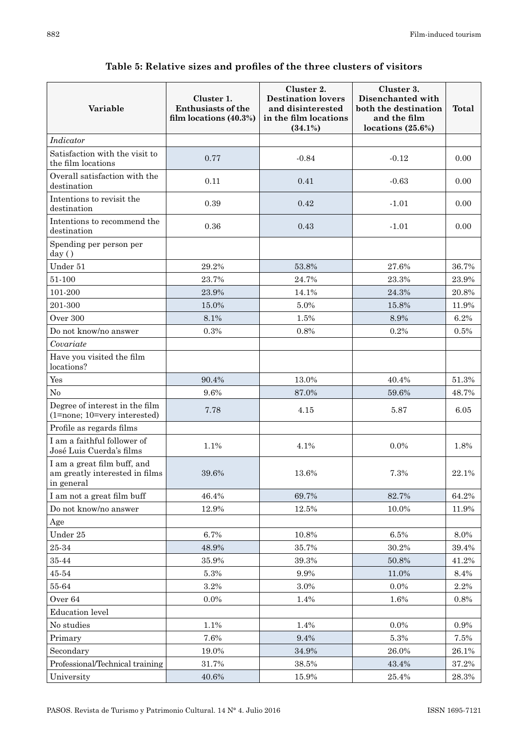## **Variable Cluster 1. Enthusiasts of the film locations (40.3%) Cluster 2. Destination lovers and disinterested in the film locations (34.1%) Cluster 3. Disenchanted with both the destination and the film locations (25.6%) Total** *Indicator* Satisfaction with the visit to the film locations  $0.77$  -0.84  $-0.12$  0.00 Overall satisfaction with the  $\frac{1}{\text{distribution}}$  0.11 0.00  $\frac{0.11}{0.00}$  0.41  $\frac{0.63}{0.00}$ Intentions to revisit the destination 0.39 0.39 0.42 -1.01 0.00 Intentions to recommend the destination destination 0.36 0.43 -1.01 0.00 Spending per person per day (€) Under 51  $29.2\%$   $53.8\%$   $27.6\%$   $36.7\%$  $51-100$  23.7% 24.7% 23.3% 23.9%  $101-200$  23.9% 14.1% 24.3% 20.8%  $201-300$  15.0% 5.0% 15.0% 15.8% 11.9%  $0$ ver 300  $\hspace{1.6cm} 8.1\%$   $\hspace{1.6cm} 1.5\%$   $\hspace{1.6cm} 8.9\%$   $\hspace{1.6cm} 6.2\%$ Do not know/no answer  $0.3\%$  0.8% 0.8% 0.2% 0.5% *Covariate* Have you visited the film locations?  $Yes$  90.4% 13.0% 40.4% 51.3% No  $9.6\%$   $9.6\%$  87.0% 59.6% 48.7% Degree of interest in the film Degree of interest in the film<br>  $(1=none; 10=very \, interested)$   $(7.78$   $4.15$   $5.87$   $5.87$   $6.05$ Profile as regards films I am a faithful follower of 1 am a faithful follower of the control of the 1.1% 1.1% 4.1% 1.8% 1.8% 1.8% I am a great film buff, and am greatly interested in films in general 39.6% 13.6% 7.3% 22.1% I am not a great film buff  $46.4\%$  69.7% 82.7% 64.2% Do not know/no answer 12.9% 12.5% 10.0% 11.9% Age Under 25  $-$  6.7% 10.8% 8.0% 8.0%  $25-34$  48.9% 35.7% 30.2% 30.2% 39.4%  $35.44$  and  $35.9\%$  and  $39.3\%$  and  $50.8\%$  and  $41.2\%$  $45-54$   $5.3\%$   $9.9\%$   $11.0\%$  8.4%  $55-64$  3.2% 3.0% 0.0% 2.2%  $0.04$  0.0% 1.4% 1.6% 0.8% Education level No studies  $1.1\%$   $1.4\%$   $1.4\%$   $0.0\%$   $0.9\%$ Primary 1.6% 7.6% 9.4% 5.3% 7.5% Secondary 19.0% 34.9% 26.0% 26.1% Professional/Technical training 31.7% 38.5% 43.4% 37.2% University 15.9% 15.9% 25.4% 28.3%

## **Table 5: Relative sizes and profiles of the three clusters of visitors**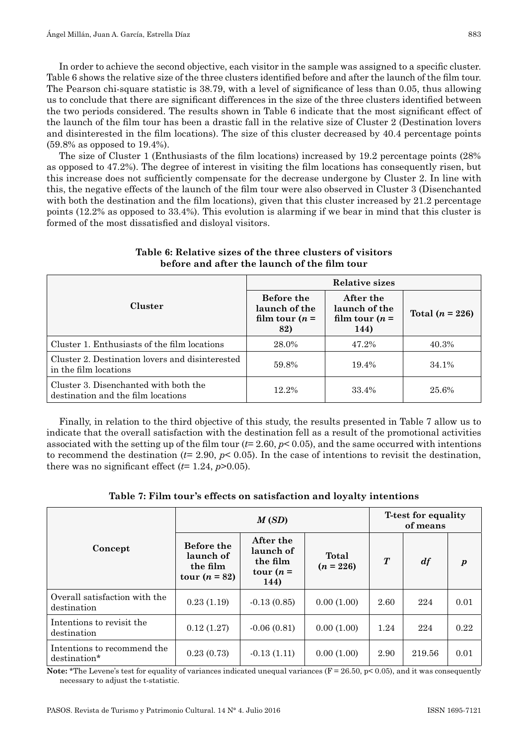In order to achieve the second objective, each visitor in the sample was assigned to a specific cluster. Table 6 shows the relative size of the three clusters identified before and after the launch of the film tour. The Pearson chi-square statistic is 38.79, with a level of significance of less than 0.05, thus allowing us to conclude that there are significant differences in the size of the three clusters identified between the two periods considered. The results shown in Table 6 indicate that the most significant effect of the launch of the film tour has been a drastic fall in the relative size of Cluster 2 (Destination lovers and disinterested in the film locations). The size of this cluster decreased by 40.4 percentage points (59.8% as opposed to 19.4%).

The size of Cluster 1 (Enthusiasts of the film locations) increased by 19.2 percentage points (28% as opposed to 47.2%). The degree of interest in visiting the film locations has consequently risen, but this increase does not sufficiently compensate for the decrease undergone by Cluster 2. In line with this, the negative effects of the launch of the film tour were also observed in Cluster 3 (Disenchanted with both the destination and the film locations), given that this cluster increased by 21.2 percentage points (12.2% as opposed to 33.4%). This evolution is alarming if we bear in mind that this cluster is formed of the most dissatisfied and disloyal visitors.

|                                                                             | Relative sizes                                         |                                                        |                   |  |  |
|-----------------------------------------------------------------------------|--------------------------------------------------------|--------------------------------------------------------|-------------------|--|--|
| Cluster                                                                     | Before the<br>launch of the<br>film tour $(n =$<br>82) | After the<br>launch of the<br>film tour $(n =$<br>144) | Total $(n = 226)$ |  |  |
| Cluster 1. Enthusiasts of the film locations                                | 28.0%                                                  | 47.2%                                                  | 40.3%             |  |  |
| Cluster 2. Destination lovers and disinterested<br>in the film locations    | 59.8%                                                  | 19.4%                                                  | 34.1%             |  |  |
| Cluster 3. Disenchanted with both the<br>destination and the film locations | 12.2%                                                  | 33.4%                                                  | 25.6%             |  |  |

**Table 6: Relative sizes of the three clusters of visitors before and after the launch of the film tour**

Finally, in relation to the third objective of this study, the results presented in Table 7 allow us to indicate that the overall satisfaction with the destination fell as a result of the promotional activities associated with the setting up of the film tour (*t*= 2.60, *p*< 0.05), and the same occurred with intentions to recommend the destination  $(t=2.90, p<0.05)$ . In the case of intentions to revisit the destination, there was no significant effect  $(t=1.24, p>0.05)$ .

| Table 7: Film tour's effects on satisfaction and loyalty intentions |  |  |  |
|---------------------------------------------------------------------|--|--|--|
|---------------------------------------------------------------------|--|--|--|

|                                              | M(SD)                                                         |                                                           |                      |                  | <b>T</b> -test for equality<br>of means |                  |  |
|----------------------------------------------|---------------------------------------------------------------|-----------------------------------------------------------|----------------------|------------------|-----------------------------------------|------------------|--|
| Concept                                      | <b>Before the</b><br>launch of<br>the film<br>tour $(n = 82)$ | After the<br>launch of<br>the film<br>tour $(n =$<br>144) | Total<br>$(n = 226)$ | $\boldsymbol{T}$ | $\boldsymbol{d}$ f                      | $\boldsymbol{p}$ |  |
| Overall satisfaction with the<br>destination | 0.23(1.19)                                                    | $-0.13(0.85)$                                             | 0.00(1.00)           | 2.60             | 224                                     | 0.01             |  |
| Intentions to revisit the<br>destination     | 0.12(1.27)                                                    | $-0.06(0.81)$                                             | 0.00(1.00)           | 1.24             | 224                                     | 0.22             |  |
| Intentions to recommend the<br>destination*  | 0.23(0.73)                                                    | $-0.13(1.11)$                                             | 0.00(1.00)           | 2.90             | 219.56                                  | 0.01             |  |

**Note:** \*The Levene's test for equality of variances indicated unequal variances  $(F = 26.50, p < 0.05)$ , and it was consequently necessary to adjust the t-statistic.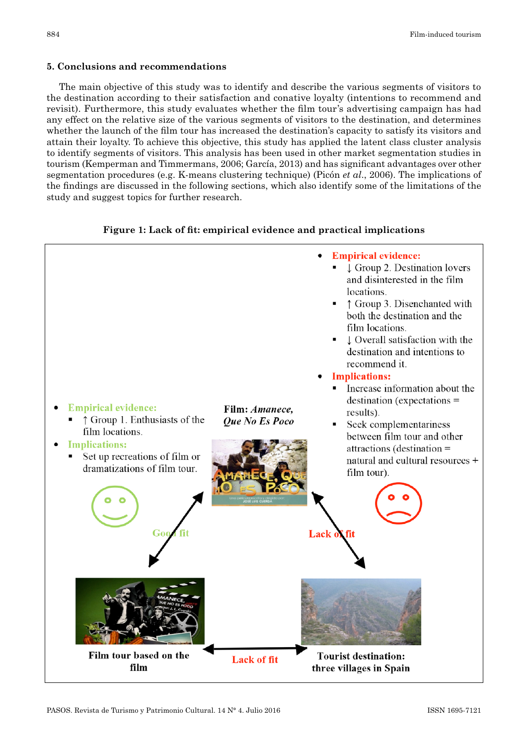## **5. Conclusions and recommendations**

The main objective of this study was to identify and describe the various segments of visitors to the destination according to their satisfaction and conative loyalty (intentions to recommend and revisit). Furthermore, this study evaluates whether the film tour's advertising campaign has had any effect on the relative size of the various segments of visitors to the destination, and determines whether the launch of the film tour has increased the destination's capacity to satisfy its visitors and attain their loyalty. To achieve this objective, this study has applied the latent class cluster analysis to identify segments of visitors. This analysis has been used in other market segmentation studies in tourism (Kemperman and Timmermans, 2006; García, 2013) and has significant advantages over other segmentation procedures (e.g. K-means clustering technique) (Picón *et al*., 2006). The implications of the findings are discussed in the following sections, which also identify some of the limitations of the study and suggest topics for further research.



## **Figure 1: Lack of fit: empirical evidence and practical implications**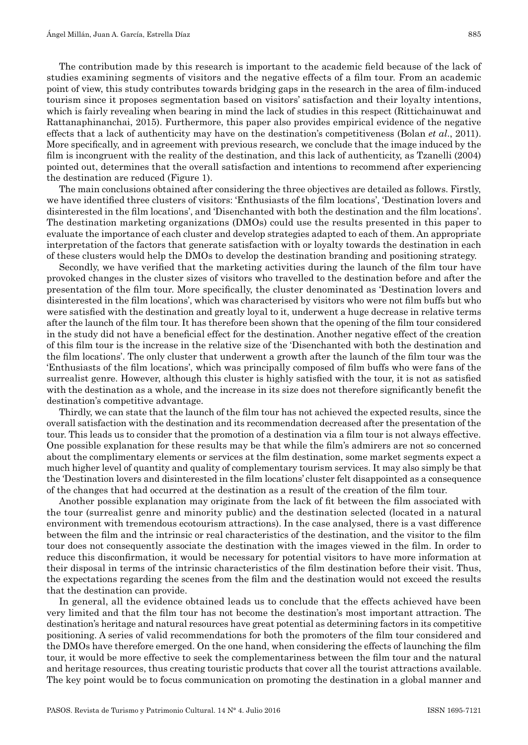The contribution made by this research is important to the academic field because of the lack of studies examining segments of visitors and the negative effects of a film tour. From an academic point of view, this study contributes towards bridging gaps in the research in the area of film-induced tourism since it proposes segmentation based on visitors' satisfaction and their loyalty intentions, which is fairly revealing when bearing in mind the lack of studies in this respect (Rittichainuwat and Rattanaphinanchai, 2015). Furthermore, this paper also provides empirical evidence of the negative effects that a lack of authenticity may have on the destination's competitiveness (Bolan *et al*., 2011). More specifically, and in agreement with previous research, we conclude that the image induced by the film is incongruent with the reality of the destination, and this lack of authenticity, as Tzanelli (2004) pointed out, determines that the overall satisfaction and intentions to recommend after experiencing the destination are reduced (Figure 1).

The main conclusions obtained after considering the three objectives are detailed as follows. Firstly, we have identified three clusters of visitors: 'Enthusiasts of the film locations', 'Destination lovers and disinterested in the film locations', and 'Disenchanted with both the destination and the film locations'. The destination marketing organizations (DMOs) could use the results presented in this paper to evaluate the importance of each cluster and develop strategies adapted to each of them. An appropriate interpretation of the factors that generate satisfaction with or loyalty towards the destination in each of these clusters would help the DMOs to develop the destination branding and positioning strategy.

Secondly, we have verified that the marketing activities during the launch of the film tour have provoked changes in the cluster sizes of visitors who travelled to the destination before and after the presentation of the film tour. More specifically, the cluster denominated as 'Destination lovers and disinterested in the film locations', which was characterised by visitors who were not film buffs but who were satisfied with the destination and greatly loyal to it, underwent a huge decrease in relative terms after the launch of the film tour. It has therefore been shown that the opening of the film tour considered in the study did not have a beneficial effect for the destination. Another negative effect of the creation of this film tour is the increase in the relative size of the 'Disenchanted with both the destination and the film locations'. The only cluster that underwent a growth after the launch of the film tour was the 'Enthusiasts of the film locations', which was principally composed of film buffs who were fans of the surrealist genre. However, although this cluster is highly satisfied with the tour, it is not as satisfied with the destination as a whole, and the increase in its size does not therefore significantly benefit the destination's competitive advantage.

Thirdly, we can state that the launch of the film tour has not achieved the expected results, since the overall satisfaction with the destination and its recommendation decreased after the presentation of the tour. This leads us to consider that the promotion of a destination via a film tour is not always effective. One possible explanation for these results may be that while the film's admirers are not so concerned about the complimentary elements or services at the film destination, some market segments expect a much higher level of quantity and quality of complementary tourism services. It may also simply be that the 'Destination lovers and disinterested in the film locations' cluster felt disappointed as a consequence of the changes that had occurred at the destination as a result of the creation of the film tour.

Another possible explanation may originate from the lack of fit between the film associated with the tour (surrealist genre and minority public) and the destination selected (located in a natural environment with tremendous ecotourism attractions). In the case analysed, there is a vast difference between the film and the intrinsic or real characteristics of the destination, and the visitor to the film tour does not consequently associate the destination with the images viewed in the film. In order to reduce this disconfirmation, it would be necessary for potential visitors to have more information at their disposal in terms of the intrinsic characteristics of the film destination before their visit. Thus, the expectations regarding the scenes from the film and the destination would not exceed the results that the destination can provide.

In general, all the evidence obtained leads us to conclude that the effects achieved have been very limited and that the film tour has not become the destination's most important attraction. The destination's heritage and natural resources have great potential as determining factors in its competitive positioning. A series of valid recommendations for both the promoters of the film tour considered and the DMOs have therefore emerged. On the one hand, when considering the effects of launching the film tour, it would be more effective to seek the complementariness between the film tour and the natural and heritage resources, thus creating touristic products that cover all the tourist attractions available. The key point would be to focus communication on promoting the destination in a global manner and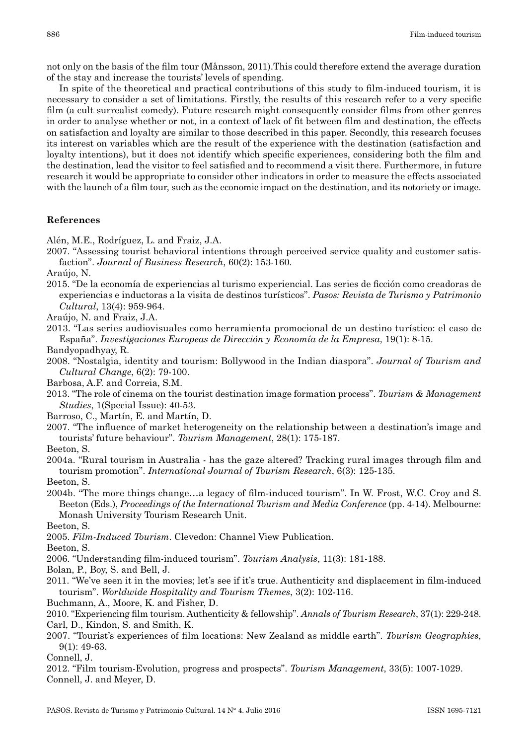not only on the basis of the film tour (Månsson, 2011).This could therefore extend the average duration of the stay and increase the tourists' levels of spending.

In spite of the theoretical and practical contributions of this study to film-induced tourism, it is necessary to consider a set of limitations. Firstly, the results of this research refer to a very specific film (a cult surrealist comedy). Future research might consequently consider films from other genres in order to analyse whether or not, in a context of lack of fit between film and destination, the effects on satisfaction and loyalty are similar to those described in this paper. Secondly, this research focuses its interest on variables which are the result of the experience with the destination (satisfaction and loyalty intentions), but it does not identify which specific experiences, considering both the film and the destination, lead the visitor to feel satisfied and to recommend a visit there. Furthermore, in future research it would be appropriate to consider other indicators in order to measure the effects associated with the launch of a film tour, such as the economic impact on the destination, and its notoriety or image.

## **References**

Alén, M.E., Rodríguez, L. and Fraiz, J.A.

2007. "Assessing tourist behavioral intentions through perceived service quality and customer satis‑ faction". *Journal of Business Research*, 60(2): 153-160.

Araújo, N.

2015. "De la economía de experiencias al turismo experiencial. Las series de ficción como creadoras de experiencias e inductoras a la visita de destinos turísticos". *Pasos: Revista de Turismo y Patrimonio Cultural*, 13(4): 959-964.

Araújo, N. and Fraiz, J.A.

- 2013. "Las series audiovisuales como herramienta promocional de un destino turístico: el caso de España". *Investigaciones Europeas de Dirección y Economía de la Empresa*, 19(1): 8-15.
- Bandyopadhyay, R.
- 2008. "Nostalgia, identity and tourism: Bollywood in the Indian diaspora". *Journal of Tourism and Cultural Change*, 6(2): 79-100.
- Barbosa, A.F. and Correia, S.M.
- 2013. "The role of cinema on the tourist destination image formation process". *Tourism & Management Studies*, 1(Special Issue): 40-53.
- Barroso, C., Martín, E. and Martín, D.
- 2007. "The influence of market heterogeneity on the relationship between a destination's image and tourists' future behaviour". *Tourism Management*, 28(1): 175-187.
- Beeton, S.
- 2004a. "Rural tourism in Australia has the gaze altered? Tracking rural images through film and tourism promotion". *International Journal of Tourism Research*, 6(3): 125-135.
- Beeton, S.
- 2004b. "The more things change…a legacy of film-induced tourism". In W. Frost, W.C. Croy and S. Beeton (Eds.), *Proceedings of the International Tourism and Media Conference* (pp. 4-14). Melbourne: Monash University Tourism Research Unit.

Beeton, S.

2005. *Film-Induced Tourism*. Clevedon: Channel View Publication.

Beeton, S.

2006. "Understanding film-induced tourism". *Tourism Analysis*, 11(3): 181-188.

Bolan, P., Boy, S. and Bell, J.

2011. "We've seen it in the movies; let's see if it's true. Authenticity and displacement in film-induced tourism". *Worldwide Hospitality and Tourism Themes*, 3(2): 102-116.

Buchmann, A., Moore, K. and Fisher, D.

2010. "Experiencing film tourism. Authenticity & fellowship". *Annals of Tourism Research*, 37(1): 229-248. Carl, D., Kindon, S. and Smith, K.

2007. "Tourist's experiences of film locations: New Zealand as middle earth". *Tourism Geographies*, 9(1): 49-63.

Connell, J.

2012. "Film tourism-Evolution, progress and prospects". *Tourism Management*, 33(5): 1007-1029. Connell, J. and Meyer, D.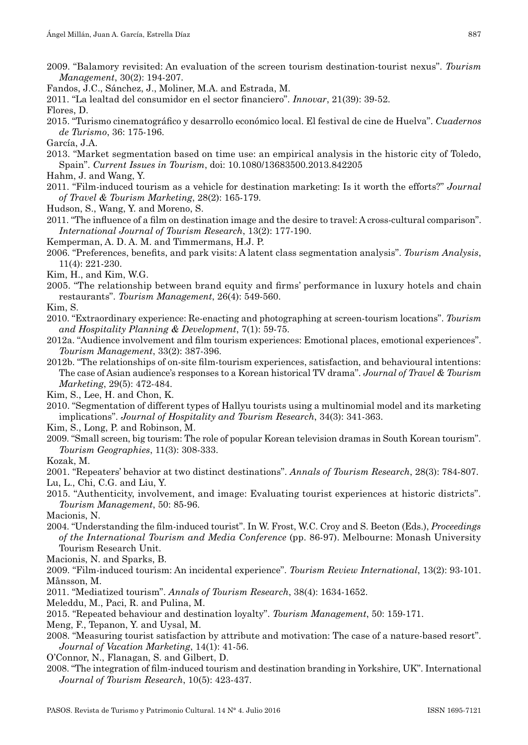- 2009. "Balamory revisited: An evaluation of the screen tourism destination-tourist nexus". *Tourism Management*, 30(2): 194-207.
- Fandos, J.C., Sánchez, J., Moliner, M.A. and Estrada, M.
- 2011. "La lealtad del consumidor en el sector financiero". *Innovar*, 21(39): 39-52.

Flores, D.

2015. "Turismo cinematográfico y desarrollo económico local. El festival de cine de Huelva". *Cuadernos de Turismo*, 36: 175-196.

García, J.A.

- 2013. "Market segmentation based on time use: an empirical analysis in the historic city of Toledo, Spain". *Current Issues in Tourism*, doi: 10.1080/13683500.2013.842205
- Hahm, J. and Wang, Y.
- 2011. "Film-induced tourism as a vehicle for destination marketing: Is it worth the efforts?" *Journal of Travel & Tourism Marketing*, 28(2): 165-179.
- Hudson, S., Wang, Y. and Moreno, S.
- 2011. "The influence of a film on destination image and the desire to travel: A cross-cultural comparison". *International Journal of Tourism Research*, 13(2): 177-190.
- Kemperman, A. D. A. M. and Timmermans, H.J. P.
- 2006. "Preferences, benefits, and park visits: A latent class segmentation analysis". *Tourism Analysis*, 11(4): 221-230.
- Kim, H., and Kim, W.G.
- 2005. "The relationship between brand equity and firms' performance in luxury hotels and chain restaurants". *Tourism Management*, 26(4): 549-560.
- Kim, S.
- 2010. "Extraordinary experience: Re-enacting and photographing at screen-tourism locations". *Tourism and Hospitality Planning & Development*, 7(1): 59-75.
- 2012a. "Audience involvement and film tourism experiences: Emotional places, emotional experiences". *Tourism Management*, 33(2): 387-396.
- 2012b. "The relationships of on-site film-tourism experiences, satisfaction, and behavioural intentions: The case of Asian audience's responses to a Korean historical TV drama". *Journal of Travel & Tourism Marketing*, 29(5): 472-484.

Kim, S., Lee, H. and Chon, K.

- 2010. "Segmentation of different types of Hallyu tourists using a multinomial model and its marketing implications". *Journal of Hospitality and Tourism Research*, 34(3): 341-363.
- Kim, S., Long, P. and Robinson, M.
- 2009. "Small screen, big tourism: The role of popular Korean television dramas in South Korean tourism". *Tourism Geographies*, 11(3): 308-333.

Kozak, M.

2001. "Repeaters' behavior at two distinct destinations". *Annals of Tourism Research*, 28(3): 784-807.

Lu, L., Chi, C.G. and Liu, Y.

2015. "Authenticity, involvement, and image: Evaluating tourist experiences at historic districts". *Tourism Management*, 50: 85-96.

Macionis, N.

2004. "Understanding the film-induced tourist". In W. Frost, W.C. Croy and S. Beeton (Eds.), *Proceedings of the International Tourism and Media Conference* (pp. 86-97). Melbourne: Monash University Tourism Research Unit.

Macionis, N. and Sparks, B.

2009. "Film-induced tourism: An incidental experience". *Tourism Review International*, 13(2): 93-101. Månsson, M.

2011. "Mediatized tourism". *Annals of Tourism Research*, 38(4): 1634-1652.

Meleddu, M., Paci, R. and Pulina, M.

2015. "Repeated behaviour and destination loyalty". *Tourism Management*, 50: 159-171.

- Meng, F., Tepanon, Y. and Uysal, M.
- 2008. "Measuring tourist satisfaction by attribute and motivation: The case of a nature-based resort". *Journal of Vacation Marketing*, 14(1): 41-56.

O'Connor, N., Flanagan, S. and Gilbert, D.

2008. "The integration of film-induced tourism and destination branding in Yorkshire, UK". International *Journal of Tourism Research*, 10(5): 423-437.